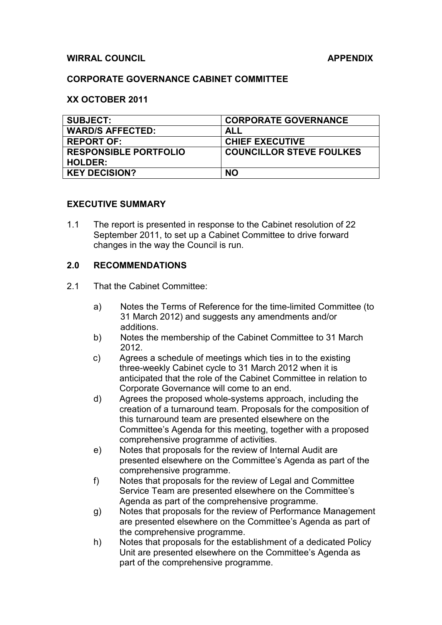#### **WIRRAL COUNCIL** APPENDIX

#### **CORPORATE GOVERNANCE CABINET COMMITTEE**

#### **XX OCTOBER 2011**

| <b>SUBJECT:</b>              | <b>CORPORATE GOVERNANCE</b>     |
|------------------------------|---------------------------------|
| <b>WARD/S AFFECTED:</b>      | ALL                             |
| <b>REPORT OF:</b>            | <b>CHIEF EXECUTIVE</b>          |
| <b>RESPONSIBLE PORTFOLIO</b> | <b>COUNCILLOR STEVE FOULKES</b> |
| <b>HOLDER:</b>               |                                 |
| <b>KEY DECISION?</b>         | <b>NO</b>                       |

#### **EXECUTIVE SUMMARY**

1.1 The report is presented in response to the Cabinet resolution of 22 September 2011, to set up a Cabinet Committee to drive forward changes in the way the Council is run.

#### **2.0 RECOMMENDATIONS**

- 2.1 That the Cabinet Committee:
	- a) Notes the Terms of Reference for the time-limited Committee (to 31 March 2012) and suggests any amendments and/or additions.
	- b) Notes the membership of the Cabinet Committee to 31 March 2012.
	- c) Agrees a schedule of meetings which ties in to the existing three-weekly Cabinet cycle to 31 March 2012 when it is anticipated that the role of the Cabinet Committee in relation to Corporate Governance will come to an end.
	- d) Agrees the proposed whole-systems approach, including the creation of a turnaround team. Proposals for the composition of this turnaround team are presented elsewhere on the Committee's Agenda for this meeting, together with a proposed comprehensive programme of activities.
	- e) Notes that proposals for the review of Internal Audit are presented elsewhere on the Committee's Agenda as part of the comprehensive programme.
	- f) Notes that proposals for the review of Legal and Committee Service Team are presented elsewhere on the Committee's Agenda as part of the comprehensive programme.
	- g) Notes that proposals for the review of Performance Management are presented elsewhere on the Committee's Agenda as part of the comprehensive programme.
	- h) Notes that proposals for the establishment of a dedicated Policy Unit are presented elsewhere on the Committee's Agenda as part of the comprehensive programme.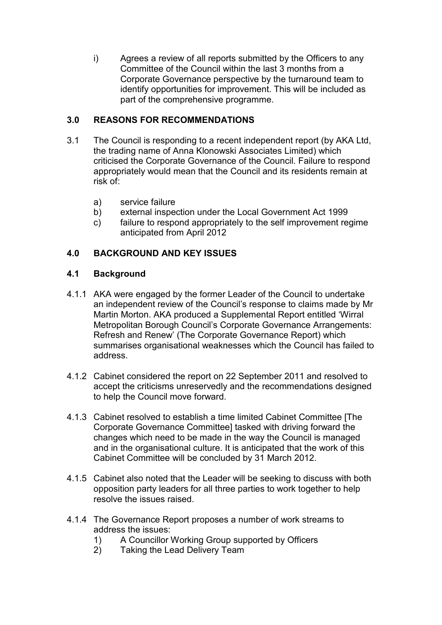i) Agrees a review of all reports submitted by the Officers to any Committee of the Council within the last 3 months from a Corporate Governance perspective by the turnaround team to identify opportunities for improvement. This will be included as part of the comprehensive programme.

# **3.0 REASONS FOR RECOMMENDATIONS**

- 3.1 The Council is responding to a recent independent report (by AKA Ltd, the trading name of Anna Klonowski Associates Limited) which criticised the Corporate Governance of the Council. Failure to respond appropriately would mean that the Council and its residents remain at risk of:
	- a) service failure
	- b) external inspection under the Local Government Act 1999
	- c) failure to respond appropriately to the self improvement regime anticipated from April 2012

# **4.0 BACKGROUND AND KEY ISSUES**

# **4.1 Background**

- 4.1.1 AKA were engaged by the former Leader of the Council to undertake an independent review of the Council's response to claims made by Mr Martin Morton. AKA produced a Supplemental Report entitled 'Wirral Metropolitan Borough Council's Corporate Governance Arrangements: Refresh and Renew' (The Corporate Governance Report) which summarises organisational weaknesses which the Council has failed to address.
- 4.1.2 Cabinet considered the report on 22 September 2011 and resolved to accept the criticisms unreservedly and the recommendations designed to help the Council move forward.
- 4.1.3 Cabinet resolved to establish a time limited Cabinet Committee [The Corporate Governance Committee] tasked with driving forward the changes which need to be made in the way the Council is managed and in the organisational culture. It is anticipated that the work of this Cabinet Committee will be concluded by 31 March 2012.
- 4.1.5 Cabinet also noted that the Leader will be seeking to discuss with both opposition party leaders for all three parties to work together to help resolve the issues raised.
- 4.1.4 The Governance Report proposes a number of work streams to address the issues:
	- 1) A Councillor Working Group supported by Officers
	- 2) Taking the Lead Delivery Team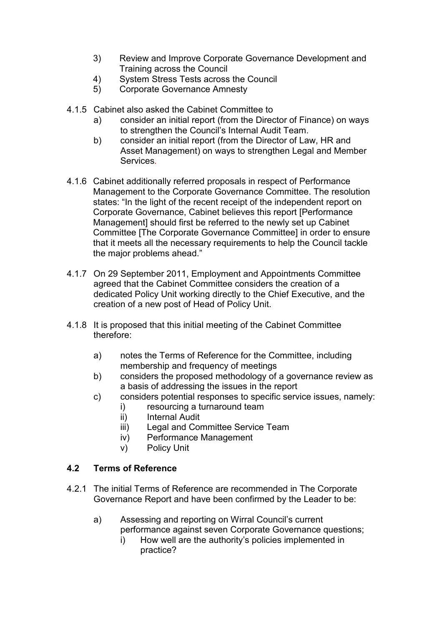- 3) Review and Improve Corporate Governance Development and Training across the Council
- 4) System Stress Tests across the Council
- 5) Corporate Governance Amnesty
- 4.1.5 Cabinet also asked the Cabinet Committee to
	- a) consider an initial report (from the Director of Finance) on ways to strengthen the Council's Internal Audit Team.
	- b) consider an initial report (from the Director of Law, HR and Asset Management) on ways to strengthen Legal and Member Services*.*
- 4.1.6 Cabinet additionally referred proposals in respect of Performance Management to the Corporate Governance Committee. The resolution states: "In the light of the recent receipt of the independent report on Corporate Governance, Cabinet believes this report [Performance Management] should first be referred to the newly set up Cabinet Committee [The Corporate Governance Committee] in order to ensure that it meets all the necessary requirements to help the Council tackle the major problems ahead."
- 4.1.7 On 29 September 2011, Employment and Appointments Committee agreed that the Cabinet Committee considers the creation of a dedicated Policy Unit working directly to the Chief Executive, and the creation of a new post of Head of Policy Unit.
- 4.1.8 It is proposed that this initial meeting of the Cabinet Committee therefore:
	- a) notes the Terms of Reference for the Committee, including membership and frequency of meetings
	- b) considers the proposed methodology of a governance review as a basis of addressing the issues in the report
	- c) considers potential responses to specific service issues, namely:
		- i) resourcing a turnaround team
		- ii) Internal Audit
		- iii) Legal and Committee Service Team
		- iv) Performance Management
		- v) Policy Unit

# **4.2 Terms of Reference**

- 4.2.1 The initial Terms of Reference are recommended in The Corporate Governance Report and have been confirmed by the Leader to be:
	- a) Assessing and reporting on Wirral Council's current performance against seven Corporate Governance questions;
		- i) How well are the authority's policies implemented in practice?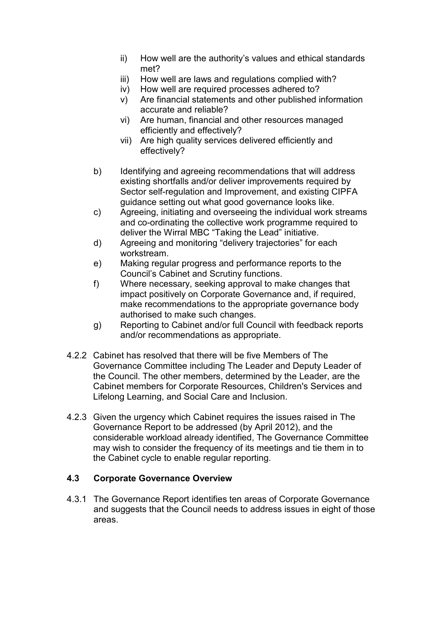- ii) How well are the authority's values and ethical standards met?
- iii) How well are laws and regulations complied with?
- iv) How well are required processes adhered to?
- v) Are financial statements and other published information accurate and reliable?
- vi) Are human, financial and other resources managed efficiently and effectively?
- vii) Are high quality services delivered efficiently and effectively?
- b) Identifying and agreeing recommendations that will address existing shortfalls and/or deliver improvements required by Sector self-regulation and Improvement, and existing CIPFA guidance setting out what good governance looks like.
- c) Agreeing, initiating and overseeing the individual work streams and co-ordinating the collective work programme required to deliver the Wirral MBC "Taking the Lead" initiative.
- d) Agreeing and monitoring "delivery trajectories" for each workstream.
- e) Making regular progress and performance reports to the Council's Cabinet and Scrutiny functions.
- f) Where necessary, seeking approval to make changes that impact positively on Corporate Governance and, if required, make recommendations to the appropriate governance body authorised to make such changes.
- g) Reporting to Cabinet and/or full Council with feedback reports and/or recommendations as appropriate.
- 4.2.2 Cabinet has resolved that there will be five Members of The Governance Committee including The Leader and Deputy Leader of the Council. The other members, determined by the Leader, are the Cabinet members for Corporate Resources, Children's Services and Lifelong Learning, and Social Care and Inclusion.
- 4.2.3 Given the urgency which Cabinet requires the issues raised in The Governance Report to be addressed (by April 2012), and the considerable workload already identified, The Governance Committee may wish to consider the frequency of its meetings and tie them in to the Cabinet cycle to enable regular reporting.

# **4.3 Corporate Governance Overview**

4.3.1 The Governance Report identifies ten areas of Corporate Governance and suggests that the Council needs to address issues in eight of those areas.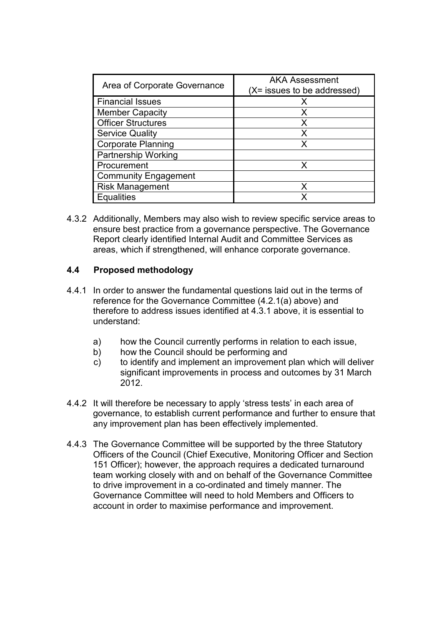| Area of Corporate Governance | <b>AKA Assessment</b><br>(X= issues to be addressed) |
|------------------------------|------------------------------------------------------|
| <b>Financial Issues</b>      | x                                                    |
| <b>Member Capacity</b>       | x                                                    |
| <b>Officer Structures</b>    | x                                                    |
| <b>Service Quality</b>       | x                                                    |
| <b>Corporate Planning</b>    | x                                                    |
| <b>Partnership Working</b>   |                                                      |
| Procurement                  |                                                      |
| <b>Community Engagement</b>  |                                                      |
| <b>Risk Management</b>       | x                                                    |
| <b>Equalities</b>            |                                                      |

4.3.2 Additionally, Members may also wish to review specific service areas to ensure best practice from a governance perspective. The Governance Report clearly identified Internal Audit and Committee Services as areas, which if strengthened, will enhance corporate governance.

# **4.4 Proposed methodology**

- 4.4.1 In order to answer the fundamental questions laid out in the terms of reference for the Governance Committee (4.2.1(a) above) and therefore to address issues identified at 4.3.1 above, it is essential to understand:
	- a) how the Council currently performs in relation to each issue,
	- b) how the Council should be performing and
	- c) to identify and implement an improvement plan which will deliver significant improvements in process and outcomes by 31 March 2012.
- 4.4.2 It will therefore be necessary to apply 'stress tests' in each area of governance, to establish current performance and further to ensure that any improvement plan has been effectively implemented.
- 4.4.3 The Governance Committee will be supported by the three Statutory Officers of the Council (Chief Executive, Monitoring Officer and Section 151 Officer); however, the approach requires a dedicated turnaround team working closely with and on behalf of the Governance Committee to drive improvement in a co-ordinated and timely manner. The Governance Committee will need to hold Members and Officers to account in order to maximise performance and improvement.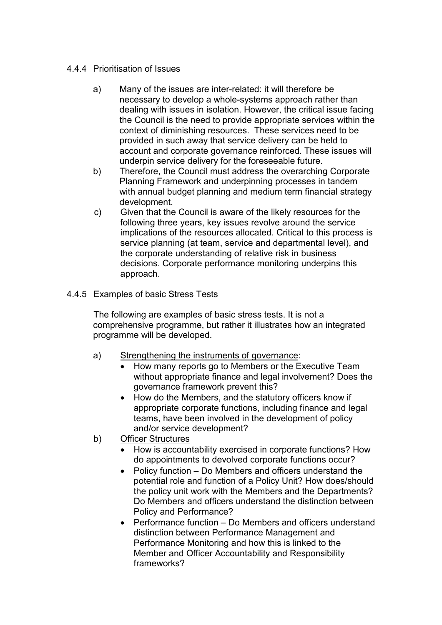#### 4.4.4 Prioritisation of Issues

- a) Many of the issues are inter-related: it will therefore be necessary to develop a whole-systems approach rather than dealing with issues in isolation. However, the critical issue facing the Council is the need to provide appropriate services within the context of diminishing resources. These services need to be provided in such away that service delivery can be held to account and corporate governance reinforced. These issues will underpin service delivery for the foreseeable future.
- b) Therefore, the Council must address the overarching Corporate Planning Framework and underpinning processes in tandem with annual budget planning and medium term financial strategy development.
- c) Given that the Council is aware of the likely resources for the following three years, key issues revolve around the service implications of the resources allocated. Critical to this process is service planning (at team, service and departmental level), and the corporate understanding of relative risk in business decisions. Corporate performance monitoring underpins this approach.

## 4.4.5 Examples of basic Stress Tests

 The following are examples of basic stress tests. It is not a comprehensive programme, but rather it illustrates how an integrated programme will be developed.

- a) Strengthening the instruments of governance:
	- How many reports go to Members or the Executive Team without appropriate finance and legal involvement? Does the governance framework prevent this?
	- How do the Members, and the statutory officers know if appropriate corporate functions, including finance and legal teams, have been involved in the development of policy and/or service development?
- b) Officer Structures
	- How is accountability exercised in corporate functions? How do appointments to devolved corporate functions occur?
	- Policy function Do Members and officers understand the potential role and function of a Policy Unit? How does/should the policy unit work with the Members and the Departments? Do Members and officers understand the distinction between Policy and Performance?
	- Performance function Do Members and officers understand distinction between Performance Management and Performance Monitoring and how this is linked to the Member and Officer Accountability and Responsibility frameworks?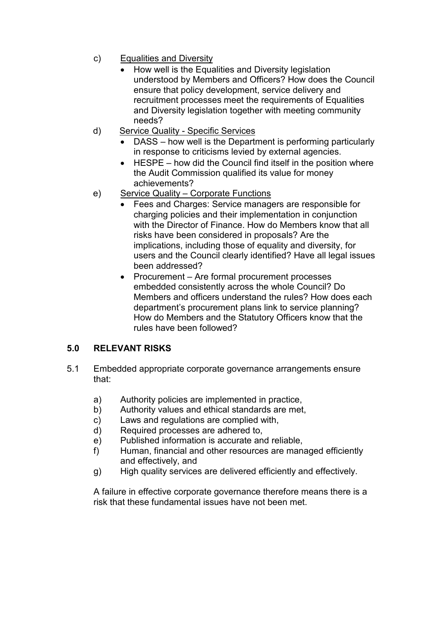- c) Equalities and Diversity
	- How well is the Equalities and Diversity legislation understood by Members and Officers? How does the Council ensure that policy development, service delivery and recruitment processes meet the requirements of Equalities and Diversity legislation together with meeting community needs?
- d) Service Quality Specific Services
	- DASS how well is the Department is performing particularly in response to criticisms levied by external agencies.
	- HESPE how did the Council find itself in the position where the Audit Commission qualified its value for money achievements?
- e) Service Quality Corporate Functions
	- Fees and Charges: Service managers are responsible for charging policies and their implementation in conjunction with the Director of Finance. How do Members know that all risks have been considered in proposals? Are the implications, including those of equality and diversity, for users and the Council clearly identified? Have all legal issues been addressed?
	- Procurement Are formal procurement processes embedded consistently across the whole Council? Do Members and officers understand the rules? How does each department's procurement plans link to service planning? How do Members and the Statutory Officers know that the rules have been followed?

# **5.0 RELEVANT RISKS**

- 5.1 Embedded appropriate corporate governance arrangements ensure that:
	- a) Authority policies are implemented in practice,
	- b) Authority values and ethical standards are met,
	- c) Laws and regulations are complied with,
	- d) Required processes are adhered to,
	- e) Published information is accurate and reliable,
	- f) Human, financial and other resources are managed efficiently and effectively, and
	- g) High quality services are delivered efficiently and effectively.

A failure in effective corporate governance therefore means there is a risk that these fundamental issues have not been met.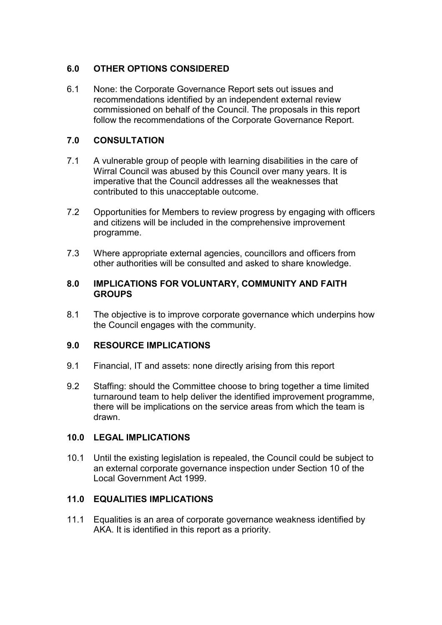# **6.0 OTHER OPTIONS CONSIDERED**

6.1 None: the Corporate Governance Report sets out issues and recommendations identified by an independent external review commissioned on behalf of the Council. The proposals in this report follow the recommendations of the Corporate Governance Report.

# **7.0 CONSULTATION**

- 7.1 A vulnerable group of people with learning disabilities in the care of Wirral Council was abused by this Council over many years. It is imperative that the Council addresses all the weaknesses that contributed to this unacceptable outcome.
- 7.2 Opportunities for Members to review progress by engaging with officers and citizens will be included in the comprehensive improvement programme.
- 7.3 Where appropriate external agencies, councillors and officers from other authorities will be consulted and asked to share knowledge.

#### **8.0 IMPLICATIONS FOR VOLUNTARY, COMMUNITY AND FAITH GROUPS**

8.1 The objective is to improve corporate governance which underpins how the Council engages with the community.

## **9.0 RESOURCE IMPLICATIONS**

- 9.1 Financial, IT and assets: none directly arising from this report
- 9.2 Staffing: should the Committee choose to bring together a time limited turnaround team to help deliver the identified improvement programme, there will be implications on the service areas from which the team is drawn.

## **10.0 LEGAL IMPLICATIONS**

10.1 Until the existing legislation is repealed, the Council could be subject to an external corporate governance inspection under Section 10 of the Local Government Act 1999.

## **11.0 EQUALITIES IMPLICATIONS**

11.1 Equalities is an area of corporate governance weakness identified by AKA. It is identified in this report as a priority.